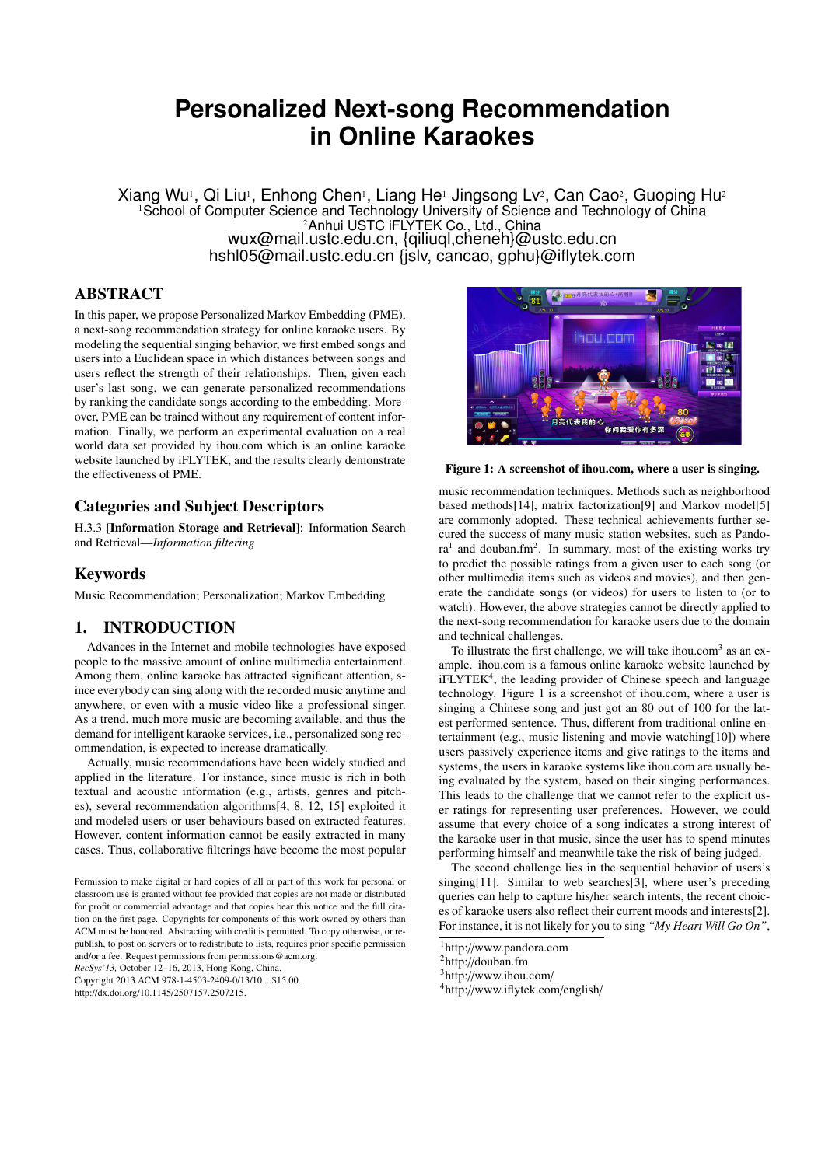# **Personalized Next-song Recommendation in Online Karaokes**

Xiang Wu<sup>1</sup>, Qi Liu<sup>1</sup>, Enhong Chen<sup>1</sup>, Liang He<sup>1</sup> Jingsong Lv<sup>2</sup>, Can Cao<sup>2</sup>, Guoping Hu<sup>2</sup> <sup>1</sup>School of Computer Science and Technology University of Science and Technology of China <sup>2</sup>Anhui USTC iFLYTEK Co., Ltd., China wux@mail.ustc.edu.cn, {qiliuql,cheneh}@ustc.edu.cn hshl05@mail.ustc.edu.cn {jslv, cancao, gphu}@iflytek.com

# ABSTRACT

In this paper, we propose Personalized Markov Embedding (PME), a next-song recommendation strategy for online karaoke users. By modeling the sequential singing behavior, we first embed songs and users into a Euclidean space in which distances between songs and users reflect the strength of their relationships. Then, given each user's last song, we can generate personalized recommendations by ranking the candidate songs according to the embedding. Moreover, PME can be trained without any requirement of content information. Finally, we perform an experimental evaluation on a real world data set provided by ihou.com which is an online karaoke website launched by iFLYTEK, and the results clearly demonstrate the effectiveness of PME.

# Categories and Subject Descriptors

H.3.3 [Information Storage and Retrieval]: Information Search and Retrieval—*Information filtering*

# Keywords

Music Recommendation; Personalization; Markov Embedding

### 1. INTRODUCTION

Advances in the Internet and mobile technologies have exposed people to the massive amount of online multimedia entertainment. Among them, online karaoke has attracted significant attention, since everybody can sing along with the recorded music anytime and anywhere, or even with a music video like a professional singer. As a trend, much more music are becoming available, and thus the demand for intelligent karaoke services, i.e., personalized song recommendation, is expected to increase dramatically.

Actually, music recommendations have been widely studied and applied in the literature. For instance, since music is rich in both textual and acoustic information (e.g., artists, genres and pitches), several recommendation algorithms[4, 8, 12, 15] exploited it and modeled users or user behaviours based on extracted features. However, content information cannot be easily extracted in many cases. Thus, collaborative filterings have become the most popular

*RecSys'13,* October 12–16, 2013, Hong Kong, China.

http://dx.doi.org/10.1145/2507157.2507215.



#### Figure 1: A screenshot of ihou.com, where a user is singing.

music recommendation techniques. Methods such as neighborhood based methods[14], matrix factorization[9] and Markov model[5] are commonly adopted. These technical achievements further secured the success of many music station websites, such as Pandora<sup>1</sup> and douban.fm<sup>2</sup>. In summary, most of the existing works try to predict the possible ratings from a given user to each song (or other multimedia items such as videos and movies), and then generate the candidate songs (or videos) for users to listen to (or to watch). However, the above strategies cannot be directly applied to the next-song recommendation for karaoke users due to the domain and technical challenges.

To illustrate the first challenge, we will take ihou.com<sup>3</sup> as an example. ihou.com is a famous online karaoke website launched by iFLYTEK<sup>4</sup>, the leading provider of Chinese speech and language technology. Figure 1 is a screenshot of ihou.com, where a user is singing a Chinese song and just got an 80 out of 100 for the latest performed sentence. Thus, different from traditional online entertainment (e.g., music listening and movie watching[10]) where users passively experience items and give ratings to the items and systems, the users in karaoke systems like ihou.com are usually being evaluated by the system, based on their singing performances. This leads to the challenge that we cannot refer to the explicit user ratings for representing user preferences. However, we could assume that every choice of a song indicates a strong interest of the karaoke user in that music, since the user has to spend minutes performing himself and meanwhile take the risk of being judged.

The second challenge lies in the sequential behavior of users's singing[11]. Similar to web searches[3], where user's preceding queries can help to capture his/her search intents, the recent choices of karaoke users also reflect their current moods and interests[2]. For instance, it is not likely for you to sing *"My Heart Will Go On"*,

<sup>4</sup>http://www.iflytek.com/english/

Permission to make digital or hard copies of all or part of this work for personal or classroom use is granted without fee provided that copies are not made or distributed for profit or commercial advantage and that copies bear this notice and the full citation on the first page. Copyrights for components of this work owned by others than ACM must be honored. Abstracting with credit is permitted. To copy otherwise, or republish, to post on servers or to redistribute to lists, requires prior specific permission and/or a fee. Request permissions from permissions@acm.org.

Copyright 2013 ACM 978-1-4503-2409-0/13/10 ...\$15.00.

<sup>1</sup>http://www.pandora.com

<sup>2</sup>http://douban.fm

<sup>3</sup>http://www.ihou.com/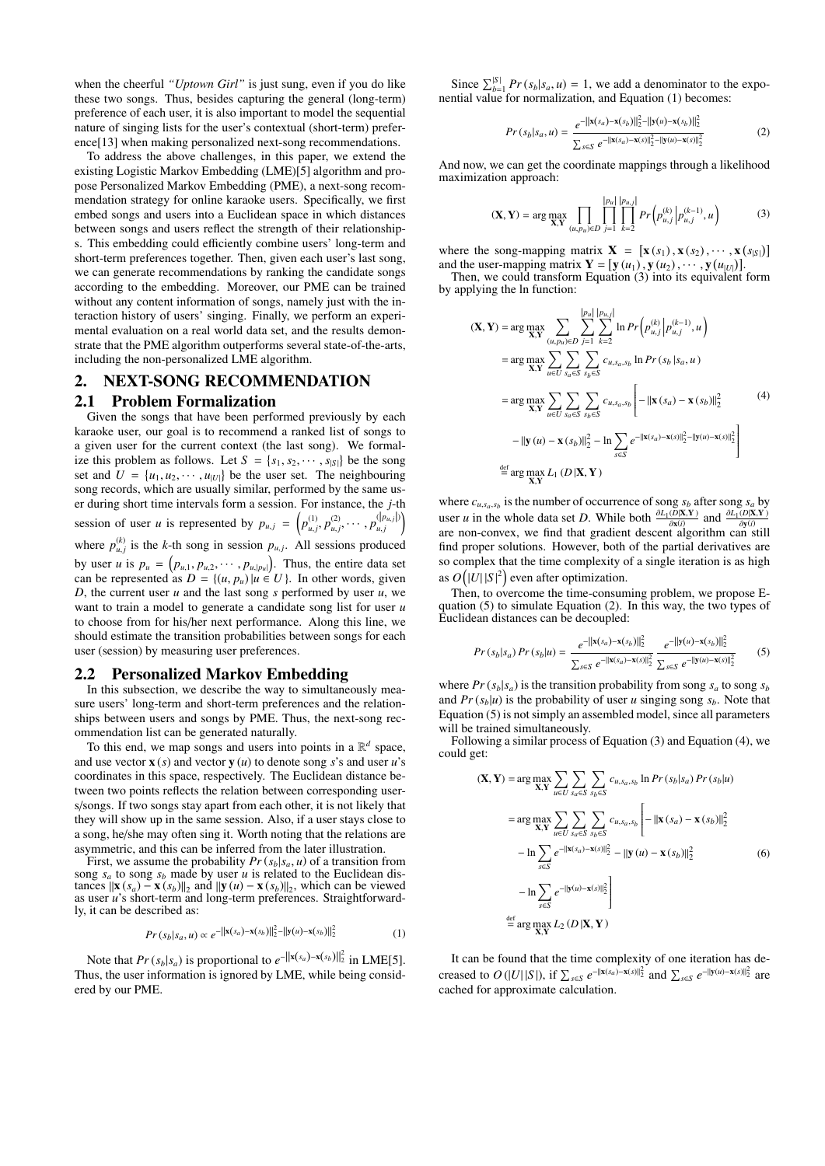when the cheerful *"Uptown Girl"* is just sung, even if you do like these two songs. Thus, besides capturing the general (long-term) preference of each user, it is also important to model the sequential nature of singing lists for the user's contextual (short-term) preference[13] when making personalized next-song recommendations.

To address the above challenges, in this paper, we extend the existing Logistic Markov Embedding (LME)[5] algorithm and propose Personalized Markov Embedding (PME), a next-song recommendation strategy for online karaoke users. Specifically, we first embed songs and users into a Euclidean space in which distances between songs and users reflect the strength of their relationships. This embedding could efficiently combine users' long-term and short-term preferences together. Then, given each user's last song, we can generate recommendations by ranking the candidate songs according to the embedding. Moreover, our PME can be trained without any content information of songs, namely just with the interaction history of users' singing. Finally, we perform an experimental evaluation on a real world data set, and the results demonstrate that the PME algorithm outperforms several state-of-the-arts, including the non-personalized LME algorithm.

# 2. NEXT-SONG RECOMMENDATION 2.1 Problem Formalization

Given the songs that have been performed previously by each karaoke user, our goal is to recommend a ranked list of songs to a given user for the current context (the last song). We formalize this problem as follows. Let  $S = \{s_1, s_2, \dots, s_{|S|}\}\)$  be the song set and  $U = \{u_1, u_2, \dots, u_{|U|}\}$  be the user set. The neighbouring song records, which are usually similar, performed by the same user during short time intervals form a session. For instance, the *j*-th session of user *u* is represented by  $p_{u,j} = (p_{u,j}^{(1)}, p_{u,j}^{(2)}, \cdots, p_{u,j}^{(|p_{u,j}|)})$ where  $p_{u,j}^{(k)}$  is the *k*-th song in session  $p_{u,j}$ . All sessions produced by user *u* is  $p_u = (p_{u,1}, p_{u,2}, \dots, p_{u,|p_u|})$ . Thus, the entire data set can be represented as  $D = \{(u, p_u) | u \in U\}$ . In other words, given *D*, the current user *u* and the last song *s* performed by user *u*, we want to train a model to generate a candidate song list for user *u* to choose from for his/her next performance. Along this line, we should estimate the transition probabilities between songs for each user (session) by measuring user preferences.

#### 2.2 Personalized Markov Embedding

In this subsection, we describe the way to simultaneously measure users' long-term and short-term preferences and the relationships between users and songs by PME. Thus, the next-song recommendation list can be generated naturally.

To this end, we map songs and users into points in a  $\mathbb{R}^d$  space, and use vector  $\mathbf{x}(s)$  and vector  $\mathbf{y}(u)$  to denote song *s*'s and user *u*'s coordinates in this space, respectively. The Euclidean distance between two points reflects the relation between corresponding users/songs. If two songs stay apart from each other, it is not likely that they will show up in the same session. Also, if a user stays close to a song, he/she may often sing it. Worth noting that the relations are asymmetric, and this can be inferred from the later illustration.

First, we assume the probability  $Pr(s_b|s_a, u)$  of a transition from song  $s_a$  to song  $s_b$  made by user *u* is related to the Euclidean distances  $\|\mathbf{x}(s_a) - \mathbf{x}(s_b)\|_2$  and  $\|\mathbf{y}(u) - \mathbf{x}(s_b)\|_2$ , which can be viewed as user *u*'s short-term and long-term preferences. Straightforwardly, it can be described as:

$$
Pr(s_b|s_a, u) \propto e^{-\left\| \mathbf{x}(s_a) - \mathbf{x}(s_b) \right\|_2^2 - \left\| \mathbf{y}(u) - \mathbf{x}(s_b) \right\|_2^2}
$$
(1)

Note that  $Pr(s_b|s_a)$  is proportional to  $e^{-\|\mathbf{x}(s_a) - \mathbf{x}(s_b)\|_2^2}$  in LME[5]. Thus, the user information is ignored by LME, while being considered by our PME.

Since  $\sum_{b=1}^{|S|} Pr(s_b|s_a, u) = 1$ , we add a denominator to the exponential value for normalization, and Equation (1) becomes:

$$
Pr\left(s_b|s_a, u\right) = \frac{e^{-\left\| \mathbf{x}(s_a) - \mathbf{x}(s_b) \right\|_2^2 - \left\| \mathbf{y}(u) - \mathbf{x}(s_b) \right\|_2^2}}{\sum_{s \in S} e^{-\left\| \mathbf{x}(s_a) - \mathbf{x}(s) \right\|_2^2 - \left\| \mathbf{y}(u) - \mathbf{x}(s) \right\|_2^2}}
$$
(2)

And now, we can get the coordinate mappings through a likelihood maximization approach:

$$
(\mathbf{X}, \mathbf{Y}) = \arg \max_{\mathbf{X}, \mathbf{Y}} \prod_{(u, p_u) \in D} \prod_{j=1}^{|p_u|} \prod_{k=2}^{|p_u|} Pr(p_{u,j}^{(k)} | p_{u,j}^{(k-1)}, u)
$$
(3)

where the song-mapping matrix  $\mathbf{X} = [\mathbf{x}(s_1), \mathbf{x}(s_2), \cdots, \mathbf{x}(s_{|\mathcal{S}|})]$ and the user-mapping matrix  $\mathbf{Y} = [\mathbf{y}(u_1), \mathbf{y}(u_2), \cdots, \mathbf{y}(u_{|U|})]$ .

Then, we could transform Equation (3) into its equivalent form by applying the ln function:

$$
(\mathbf{X}, \mathbf{Y}) = \arg \max_{\mathbf{X}, \mathbf{Y}} \sum_{(u, p_u) \in D} \sum_{j=1}^{|p_u|} \sum_{k=2}^{|p_u|} \ln Pr \left( p_{u,j}^{(k)} \middle| p_{u,j}^{(k-1)}, u \right)
$$
  
\n
$$
= \arg \max_{\mathbf{X}, \mathbf{Y}} \sum_{u \in U} \sum_{s_a \in S} \sum_{s_b \in S} c_{u, s_a, s_b} \ln Pr(s_b \mid s_a, u)
$$
  
\n
$$
= \arg \max_{\mathbf{X}, \mathbf{Y}} \sum_{u \in U} \sum_{s_a \in S} \sum_{s_b \in S} c_{u, s_a, s_b} \left[ -\|\mathbf{x}(s_a) - \mathbf{x}(s_b)\|_2^2 - \|y(u) - \mathbf{x}(s)\|_2^2 \right]
$$
  
\n
$$
- \|\mathbf{y}(u) - \mathbf{x}(s_b)\|_2^2 - \ln \sum_{s \in S} e^{-\|\mathbf{x}(s_a) - \mathbf{x}(s)\|_2^2 - \|\mathbf{y}(u) - \mathbf{x}(s)\|_2^2} \right]
$$
  
\n
$$
\stackrel{\text{def}}{=} \arg \max_{\mathbf{X}, \mathbf{Y}} L_1(D|\mathbf{X}, \mathbf{Y})
$$

where  $c_{u,s_a,s_b}$  is the number of occurrence of song  $s_b$  after song  $s_a$  by user *u* in the whole data set *D*. While both  $\frac{\partial L_1(D|\mathbf{X}, \mathbf{Y})}{\partial x(i)}$  and  $\frac{\partial L_1(D|\mathbf{X}, \mathbf{Y})}{\partial y(i)}$  are non-convex, we find that gradient descent algorithm can still find proper solutions. However, both of the partial derivatives are so complex that the time complexity of a single iteration is as high as  $O(|U||S|^2)$  even after optimization.

Then, to overcome the time-consuming problem, we propose Equation (5) to simulate Equation (2). In this way, the two types of Euclidean distances can be decoupled:

$$
Pr(s_b|s_a)Pr(s_b|u) = \frac{e^{-||\mathbf{x}(s_a) - \mathbf{x}(s_b)||_2^2}}{\sum_{s \in S} e^{-||\mathbf{x}(s_a) - \mathbf{x}(s)||_2^2}} \frac{e^{-||\mathbf{y}(u) - \mathbf{x}(s_b)||_2^2}}{\sum_{s \in S} e^{-||\mathbf{y}(u) - \mathbf{x}(s)||_2^2}}
$$
(5)

where  $Pr(s_b|s_a)$  is the transition probability from song  $s_a$  to song  $s_b$ and  $Pr(s_b|u)$  is the probability of user *u* singing song  $s_b$ . Note that Equation (5) is not simply an assembled model, since all parameters will be trained simultaneously.

Following a similar process of Equation (3) and Equation (4), we could get:

$$
(\mathbf{X}, \mathbf{Y}) = \arg \max_{\mathbf{X}, \mathbf{Y}} \sum_{u \in U} \sum_{s_a \in S} \sum_{s_b \in S} c_{u, s_a, s_b} \ln Pr(s_b|s_a) Pr(s_b|u)
$$
  
\n
$$
= \arg \max_{\mathbf{X}, \mathbf{Y}} \sum_{u \in U} \sum_{s_a \in S} \sum_{s_b \in S} c_{u, s_a, s_b} \left[ -\|\mathbf{x}(s_a) - \mathbf{x}(s_b)\|_2^2 - \ln \sum_{s \in S} e^{-\|\mathbf{x}(s_a) - \mathbf{x}(s)\|_2^2} - \|\mathbf{y}(u) - \mathbf{x}(s_b)\|_2^2 - \ln \sum_{s \in S} e^{-\|\mathbf{y}(u) - \mathbf{x}(s)\|_2^2} \right] \tag{6}
$$
  
\n
$$
- \ln \sum_{s \in S} e^{-\|\mathbf{y}(u) - \mathbf{x}(s)\|_2^2} \left[ \frac{\|\mathbf{x}(u) - \mathbf{x}(s)\|_2^2}{\|\mathbf{x}(u) - \mathbf{x}(s)\|_2^2} \right]
$$
  
\n
$$
\stackrel{\text{def}}{=} \arg \max_{\mathbf{X}, \mathbf{Y}} L_2(D|\mathbf{X}, \mathbf{Y})
$$

It can be found that the time complexity of one iteration has decreased to  $O(|U||S|)$ , if  $\sum_{s \in S} e^{-\|\mathbf{x}(s_a) - \mathbf{x}(s)\|_2^2}$  and  $\sum_{s \in S} e^{-\|\mathbf{y}(u) - \mathbf{x}(s)\|_2^2}$  are cached for approximate calculation.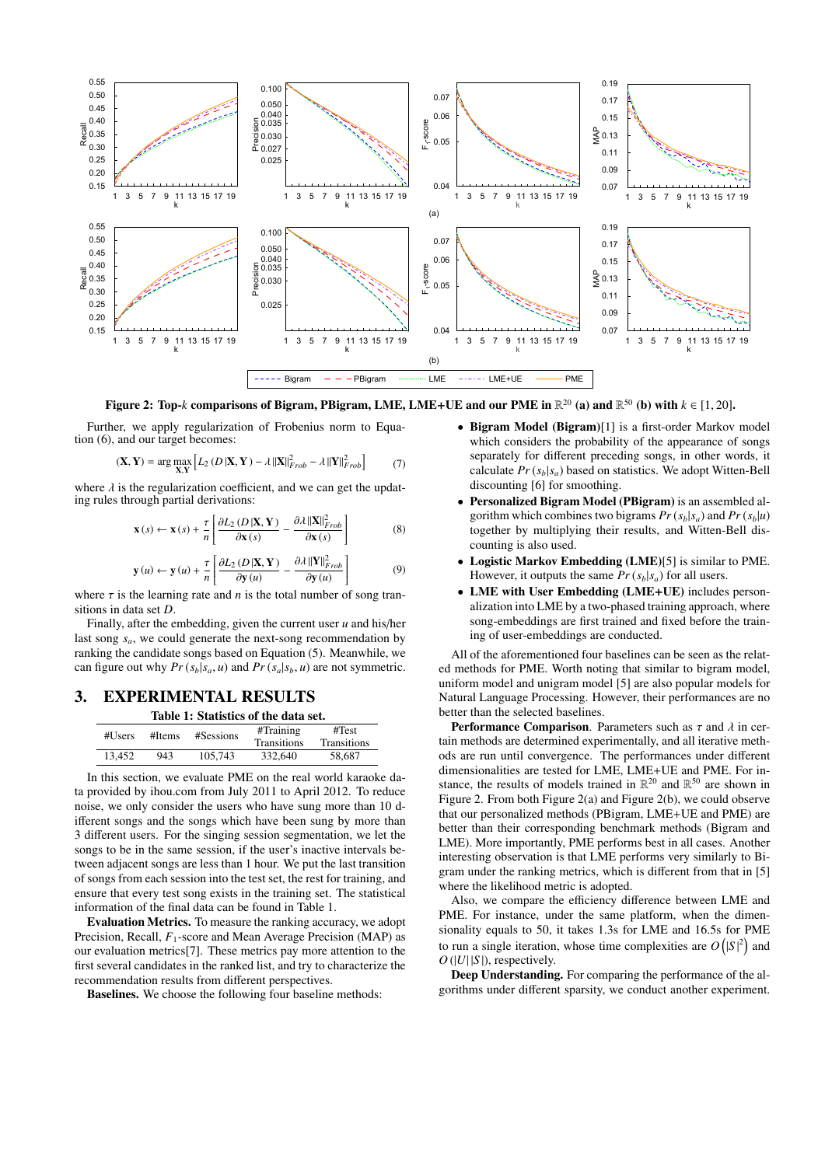

Figure 2: Top- $k$  comparisons of Bigram, PBigram, LME, LME+UE and our PME in  $\mathbb{R}^{20}$  (a) and  $\mathbb{R}^{50}$  (b) with  $k\in[1,20].$ 

Further, we apply regularization of Frobenius norm to Equation (6), and our target becomes:

$$
(\mathbf{X}, \mathbf{Y}) = \arg \max_{\mathbf{X}, \mathbf{Y}} \left[ L_2 \left( D \left| \mathbf{X}, \mathbf{Y} \right. \right) - \lambda \left\| \mathbf{X} \right\|_{Frob}^2 - \lambda \left\| \mathbf{Y} \right\|_{Frob}^2 \right] \tag{7}
$$

where  $\lambda$  is the regularization coefficient, and we can get the updating rules through partial derivations:

$$
\mathbf{x}(s) \leftarrow \mathbf{x}(s) + \frac{\tau}{n} \left[ \frac{\partial L_2\left(D\left|\mathbf{X}, \mathbf{Y}\right.\right)}{\partial \mathbf{x}(s)} - \frac{\partial \lambda \left\|\mathbf{X}\right\|_{Frob}^2}{\partial \mathbf{x}(s)} \right] \tag{8}
$$

$$
\mathbf{y}(u) \leftarrow \mathbf{y}(u) + \frac{\tau}{n} \left[ \frac{\partial L_2(D|\mathbf{X}, \mathbf{Y})}{\partial \mathbf{y}(u)} - \frac{\partial \lambda ||\mathbf{Y}||^2_{Frob}}{\partial \mathbf{y}(u)} \right] \tag{9}
$$

where  $\tau$  is the learning rate and *n* is the total number of song transitions in data set *D*.

Finally, after the embedding, given the current user *u* and his/her last song *sa*, we could generate the next-song recommendation by ranking the candidate songs based on Equation (5). Meanwhile, we can figure out why  $Pr(s_b|s_a, u)$  and  $Pr(s_a|s_b, u)$  are not symmetric.

# 3. EXPERIMENTAL RESULTS

Table 1: Statistics of the data set.

| #Users | #Items | #Sessions | #Training<br><b>Transitions</b> | #Test<br><b>Transitions</b> |
|--------|--------|-----------|---------------------------------|-----------------------------|
| 13.452 | 943    | 105.743   | 332,640                         | 58.687                      |

In this section, we evaluate PME on the real world karaoke data provided by ihou.com from July 2011 to April 2012. To reduce noise, we only consider the users who have sung more than 10 different songs and the songs which have been sung by more than 3 different users. For the singing session segmentation, we let the songs to be in the same session, if the user's inactive intervals between adjacent songs are less than 1 hour. We put the last transition of songs from each session into the test set, the rest for training, and ensure that every test song exists in the training set. The statistical information of the final data can be found in Table 1.

Evaluation Metrics. To measure the ranking accuracy, we adopt Precision, Recall,  $F_1$ -score and Mean Average Precision (MAP) as our evaluation metrics[7]. These metrics pay more attention to the first several candidates in the ranked list, and try to characterize the recommendation results from different perspectives.

Baselines. We choose the following four baseline methods:

- Bigram Model (Bigram)[1] is a first-order Markov model which considers the probability of the appearance of songs separately for different preceding songs, in other words, it calculate  $Pr(s_b|s_a)$  based on statistics. We adopt Witten-Bell discounting [6] for smoothing.
- Personalized Bigram Model (PBigram) is an assembled algorithm which combines two bigrams  $Pr(s_b|s_a)$  and  $Pr(s_b|u)$ together by multiplying their results, and Witten-Bell discounting is also used.
- Logistic Markov Embedding (LME)[5] is similar to PME. However, it outputs the same  $Pr(s_b|s_a)$  for all users.
- LME with User Embedding (LME+UE) includes personalization into LME by a two-phased training approach, where song-embeddings are first trained and fixed before the training of user-embeddings are conducted.

All of the aforementioned four baselines can be seen as the related methods for PME. Worth noting that similar to bigram model, uniform model and unigram model [5] are also popular models for Natural Language Processing. However, their performances are no better than the selected baselines.

**Performance Comparison.** Parameters such as  $\tau$  and  $\lambda$  in certain methods are determined experimentally, and all iterative methods are run until convergence. The performances under different dimensionalities are tested for LME, LME+UE and PME. For instance, the results of models trained in  $\mathbb{R}^{20}$  and  $\mathbb{R}^{50}$  are shown in Figure 2. From both Figure 2(a) and Figure 2(b), we could observe that our personalized methods (PBigram, LME+UE and PME) are better than their corresponding benchmark methods (Bigram and LME). More importantly, PME performs best in all cases. Another interesting observation is that LME performs very similarly to Bigram under the ranking metrics, which is different from that in [5] where the likelihood metric is adopted.

Also, we compare the efficiency difference between LME and PME. For instance, under the same platform, when the dimensionality equals to 50, it takes 1.3s for LME and 16.5s for PME to run a single iteration, whose time complexities are  $O(|S|^2)$  and  $O(|U||S|)$ , respectively.

Deep Understanding. For comparing the performance of the algorithms under different sparsity, we conduct another experiment.